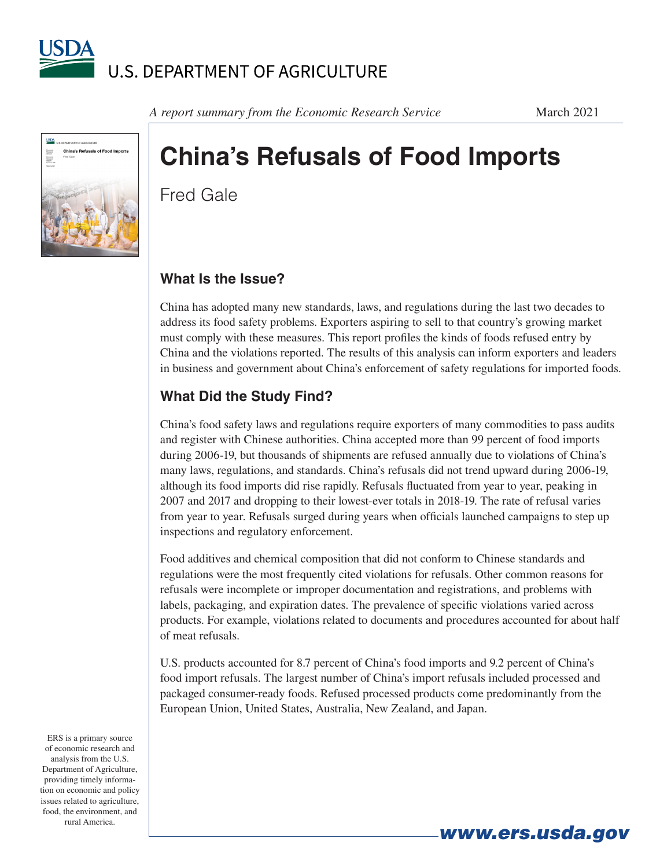



*A report summary from the Economic Research Service* March 2021

# **China's Refusals of Food Imports**

Fred Gale

#### **What Is the Issue?**

China has adopted many new standards, laws, and regulations during the last two decades to address its food safety problems. Exporters aspiring to sell to that country's growing market must comply with these measures. This report profiles the kinds of foods refused entry by China and the violations reported. The results of this analysis can inform exporters and leaders in business and government about China's enforcement of safety regulations for imported foods.

## **What Did the Study Find?**

China's food safety laws and regulations require exporters of many commodities to pass audits and register with Chinese authorities. China accepted more than 99 percent of food imports during 2006-19, but thousands of shipments are refused annually due to violations of China's many laws, regulations, and standards. China's refusals did not trend upward during 2006-19, although its food imports did rise rapidly. Refusals fluctuated from year to year, peaking in 2007 and 2017 and dropping to their lowest-ever totals in 2018-19. The rate of refusal varies from year to year. Refusals surged during years when officials launched campaigns to step up inspections and regulatory enforcement.

Food additives and chemical composition that did not conform to Chinese standards and regulations were the most frequently cited violations for refusals. Other common reasons for refusals were incomplete or improper documentation and registrations, and problems with labels, packaging, and expiration dates. The prevalence of specific violations varied across products. For example, violations related to documents and procedures accounted for about half of meat refusals.

U.S. products accounted for 8.7 percent of China's food imports and 9.2 percent of China's food import refusals. The largest number of China's import refusals included processed and packaged consumer-ready foods. Refused processed products come predominantly from the European Union, United States, Australia, New Zealand, and Japan.

ERS is a primary source of economic research and analysis from the U.S. Department of Agriculture, providing timely information on economic and policy issues related to agriculture, food, the environment, and rural America.

*www.ers.usda.gov*